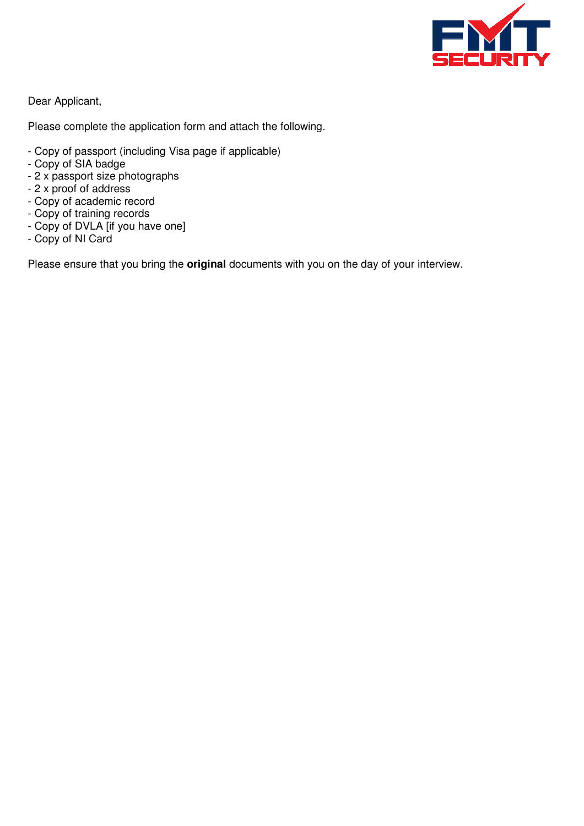

Dear Applicant,

Please complete the application form and attach the following.

- Copy of passport (including Visa page if applicable)
- Copy of SIA badge
- 2 x passport size photographs
- 2 x proof of address
- Copy of academic record
- Copy of training records
- Copy of DVLA [if you have one]
- Copy of NI Card

Please ensure that you bring the **original** documents with you on the day of your interview.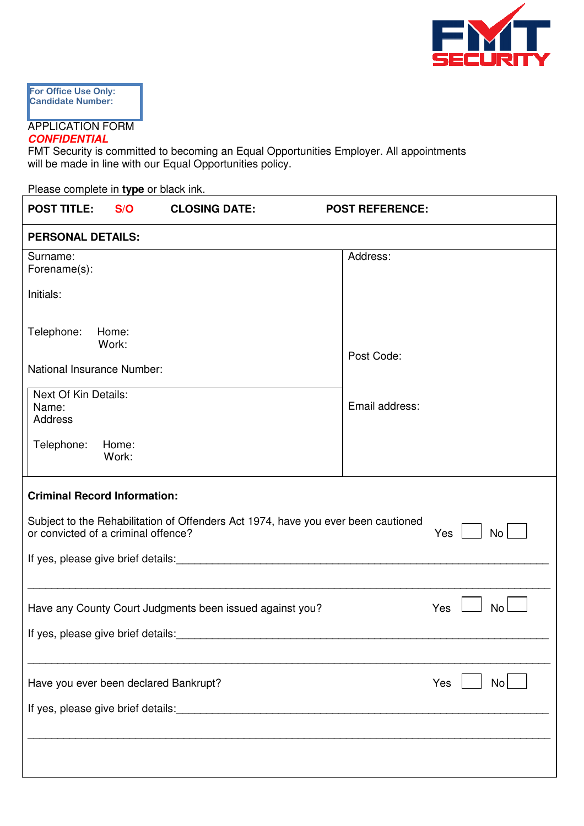

For Office Use On **Candidate Numb For Office Use Only: Candidate Number:** 

### APPLICATION FORM **CONFIDENTIAL**

FMT Security is committed to becoming an Equal Opportunities Employer. All appointments will be made in line with our Equal Opportunities policy.

Please complete in **type** or black ink.

| <b>POST TITLE:</b>                                                                                                                           | S/O                                 | <b>CLOSING DATE:</b> | <b>POST REFERENCE:</b> |  |
|----------------------------------------------------------------------------------------------------------------------------------------------|-------------------------------------|----------------------|------------------------|--|
| <b>PERSONAL DETAILS:</b>                                                                                                                     |                                     |                      |                        |  |
| Surname:<br>Forename(s):                                                                                                                     |                                     |                      | Address:               |  |
| Initials:                                                                                                                                    |                                     |                      |                        |  |
| Telephone:                                                                                                                                   | Home:<br>Work:                      |                      | Post Code:             |  |
|                                                                                                                                              | National Insurance Number:          |                      |                        |  |
| Next Of Kin Details:<br>Name:<br>Address                                                                                                     |                                     |                      | Email address:         |  |
| Telephone:                                                                                                                                   | Home:<br>Work:                      |                      |                        |  |
|                                                                                                                                              | <b>Criminal Record Information:</b> |                      |                        |  |
| Subject to the Rehabilitation of Offenders Act 1974, have you ever been cautioned<br><b>No</b><br>or convicted of a criminal offence?<br>Yes |                                     |                      |                        |  |
| If yes, please give brief details:                                                                                                           |                                     |                      |                        |  |
| Have any County Court Judgments been issued against you?<br>Yes<br><b>No</b><br>If yes, please give brief details:                           |                                     |                      |                        |  |
|                                                                                                                                              |                                     |                      |                        |  |
| <b>No</b><br>Have you ever been declared Bankrupt?<br>Yes                                                                                    |                                     |                      |                        |  |
|                                                                                                                                              |                                     |                      |                        |  |
|                                                                                                                                              |                                     |                      |                        |  |
|                                                                                                                                              |                                     |                      |                        |  |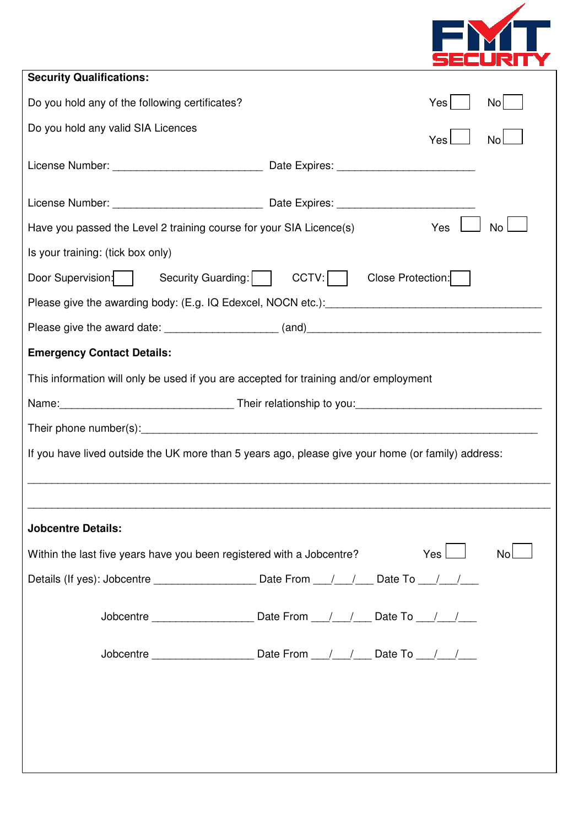

| <b>Security Qualifications:</b>                                                                                                                                                                                                |                   |                  |  |  |  |
|--------------------------------------------------------------------------------------------------------------------------------------------------------------------------------------------------------------------------------|-------------------|------------------|--|--|--|
| Do you hold any of the following certificates?                                                                                                                                                                                 |                   | Yes<br>No        |  |  |  |
| Do you hold any valid SIA Licences                                                                                                                                                                                             |                   | Yes<br><b>No</b> |  |  |  |
|                                                                                                                                                                                                                                |                   |                  |  |  |  |
|                                                                                                                                                                                                                                |                   |                  |  |  |  |
| Have you passed the Level 2 training course for your SIA Licence(s)                                                                                                                                                            |                   | Yes<br><b>No</b> |  |  |  |
| Is your training: (tick box only)                                                                                                                                                                                              |                   |                  |  |  |  |
| Door Supervision:   Security Guarding:   CCTV:                                                                                                                                                                                 | Close Protection: |                  |  |  |  |
| Please give the awarding body: (E.g. IQ Edexcel, NOCN etc.): [19] Decrement contracts were response to the available property of the set of the set of the set of the set of the set of the set of the set of the set of the s |                   |                  |  |  |  |
|                                                                                                                                                                                                                                |                   |                  |  |  |  |
| <b>Emergency Contact Details:</b>                                                                                                                                                                                              |                   |                  |  |  |  |
| This information will only be used if you are accepted for training and/or employment                                                                                                                                          |                   |                  |  |  |  |
| Name: 1990 Name: 1990 Name: 1990 Name: 1990 Name: 1990 Name: 1990 Name: 1990 Name: 1990 Name: 1990 Name: 1990                                                                                                                  |                   |                  |  |  |  |
|                                                                                                                                                                                                                                |                   |                  |  |  |  |
| If you have lived outside the UK more than 5 years ago, please give your home (or family) address:                                                                                                                             |                   |                  |  |  |  |
|                                                                                                                                                                                                                                |                   |                  |  |  |  |
|                                                                                                                                                                                                                                |                   |                  |  |  |  |
| <b>Jobcentre Details:</b>                                                                                                                                                                                                      |                   |                  |  |  |  |
| Within the last five years have you been registered with a Jobcentre?                                                                                                                                                          |                   | Yes<br>No        |  |  |  |
|                                                                                                                                                                                                                                |                   |                  |  |  |  |
|                                                                                                                                                                                                                                |                   |                  |  |  |  |
|                                                                                                                                                                                                                                |                   |                  |  |  |  |
|                                                                                                                                                                                                                                |                   |                  |  |  |  |
|                                                                                                                                                                                                                                |                   |                  |  |  |  |
|                                                                                                                                                                                                                                |                   |                  |  |  |  |
|                                                                                                                                                                                                                                |                   |                  |  |  |  |
|                                                                                                                                                                                                                                |                   |                  |  |  |  |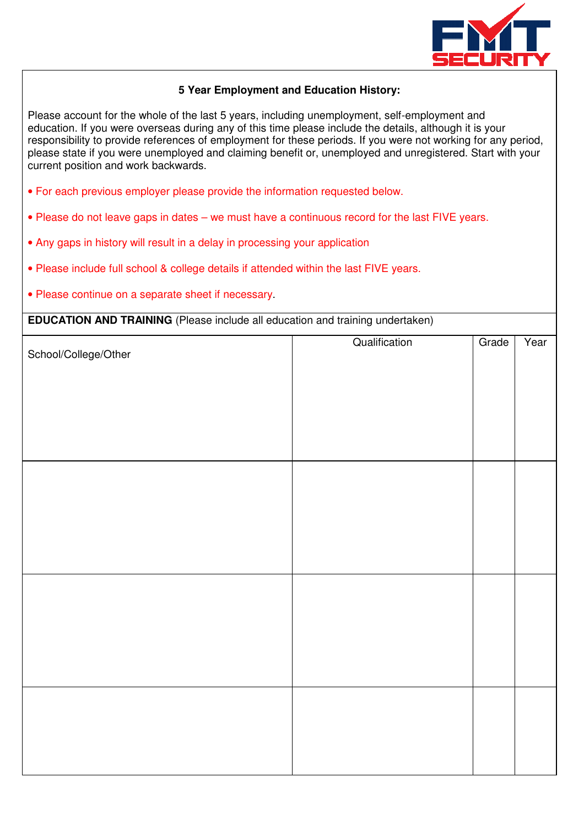

## **5 Year Employment and Education History:**

Please account for the whole of the last 5 years, including unemployment, self-employment and education. If you were overseas during any of this time please include the details, although it is your responsibility to provide references of employment for these periods. If you were not working for any period, please state if you were unemployed and claiming benefit or, unemployed and unregistered. Start with your current position and work backwards.

- For each previous employer please provide the information requested below.
- Please do not leave gaps in dates we must have a continuous record for the last FIVE years.
- Any gaps in history will result in a delay in processing your application
- Please include full school & college details if attended within the last FIVE years.
- Please continue on a separate sheet if necessary.

**EDUCATION AND TRAINING** (Please include all education and training undertaken)

| School/College/Other | Qualification | Grade | Year |
|----------------------|---------------|-------|------|
|                      |               |       |      |
|                      |               |       |      |
|                      |               |       |      |
|                      |               |       |      |
|                      |               |       |      |
|                      |               |       |      |
|                      |               |       |      |
|                      |               |       |      |
|                      |               |       |      |
|                      |               |       |      |
|                      |               |       |      |
|                      |               |       |      |
|                      |               |       |      |
|                      |               |       |      |
|                      |               |       |      |
|                      |               |       |      |
|                      |               |       |      |
|                      |               |       |      |
|                      |               |       |      |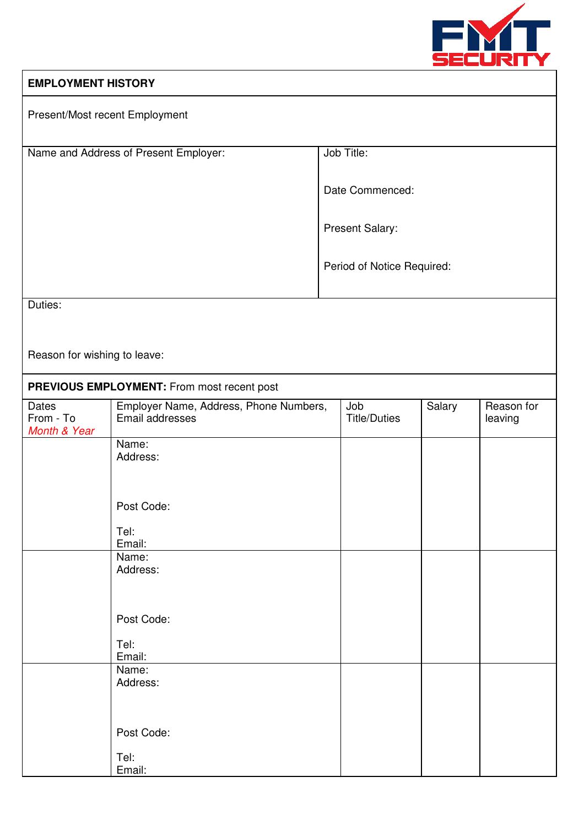

## **EMPLOYMENT HISTORY**

| Present/Most recent Employment     |                                                           |                            |        |                       |
|------------------------------------|-----------------------------------------------------------|----------------------------|--------|-----------------------|
|                                    | Name and Address of Present Employer:                     | Job Title:                 |        |                       |
|                                    |                                                           | Date Commenced:            |        |                       |
|                                    |                                                           | Present Salary:            |        |                       |
|                                    |                                                           | Period of Notice Required: |        |                       |
| Duties:                            |                                                           |                            |        |                       |
|                                    |                                                           |                            |        |                       |
| Reason for wishing to leave:       |                                                           |                            |        |                       |
|                                    | PREVIOUS EMPLOYMENT: From most recent post                |                            |        |                       |
| Dates<br>From - To<br>Month & Year | Employer Name, Address, Phone Numbers,<br>Email addresses | Job<br><b>Title/Duties</b> | Salary | Reason for<br>leaving |
|                                    | Name:<br>Address:                                         |                            |        |                       |
|                                    |                                                           |                            |        |                       |
|                                    | Post Code:                                                |                            |        |                       |
|                                    | Tel:<br>Email:                                            |                            |        |                       |
|                                    | Name:<br>Address:                                         |                            |        |                       |
|                                    |                                                           |                            |        |                       |
|                                    | Post Code:                                                |                            |        |                       |
|                                    | Tel:<br>Email:                                            |                            |        |                       |
|                                    | Name:<br>Address:                                         |                            |        |                       |
|                                    |                                                           |                            |        |                       |
|                                    | Post Code:                                                |                            |        |                       |
|                                    | Tel:<br>Email:                                            |                            |        |                       |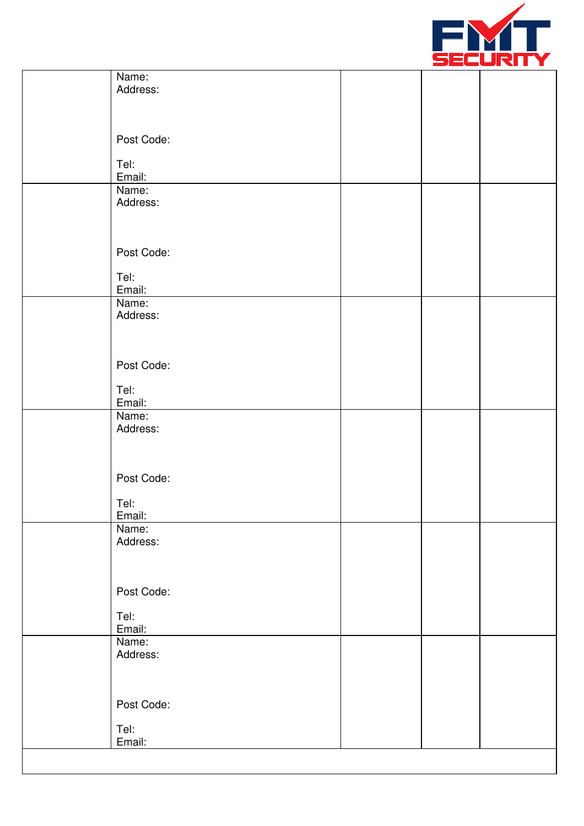

| Name:             |  |  |
|-------------------|--|--|
| Address:          |  |  |
|                   |  |  |
|                   |  |  |
| Post Code:        |  |  |
| Tel:              |  |  |
| Email:            |  |  |
| Name:<br>Address: |  |  |
|                   |  |  |
|                   |  |  |
| Post Code:        |  |  |
|                   |  |  |
| Tel:              |  |  |
| Email:<br>Name:   |  |  |
| Address:          |  |  |
|                   |  |  |
|                   |  |  |
| Post Code:        |  |  |
| Tel:              |  |  |
| Email:            |  |  |
| Name:             |  |  |
| Address:          |  |  |
|                   |  |  |
|                   |  |  |
| Post Code:        |  |  |
| Tel:              |  |  |
| Email:            |  |  |
| Name:<br>Address: |  |  |
|                   |  |  |
|                   |  |  |
| Post Code:        |  |  |
|                   |  |  |
| Tel:<br>Email:    |  |  |
| Name:             |  |  |
| Address:          |  |  |
|                   |  |  |
|                   |  |  |
| Post Code:        |  |  |
| Tel:              |  |  |
| Email:            |  |  |
|                   |  |  |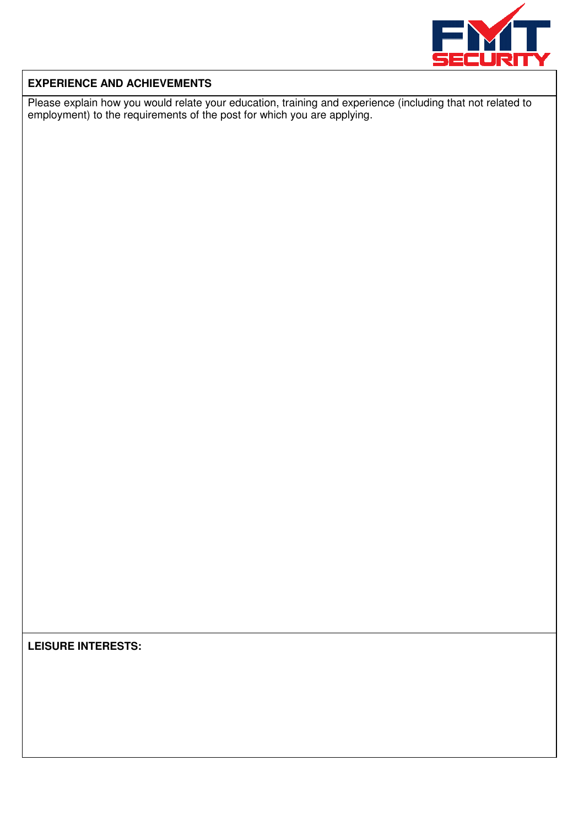

## **EXPERIENCE AND ACHIEVEMENTS**

Please explain how you would relate your education, training and experience (including that not related to employment) to the requirements of the post for which you are applying.

**LEISURE INTERESTS:**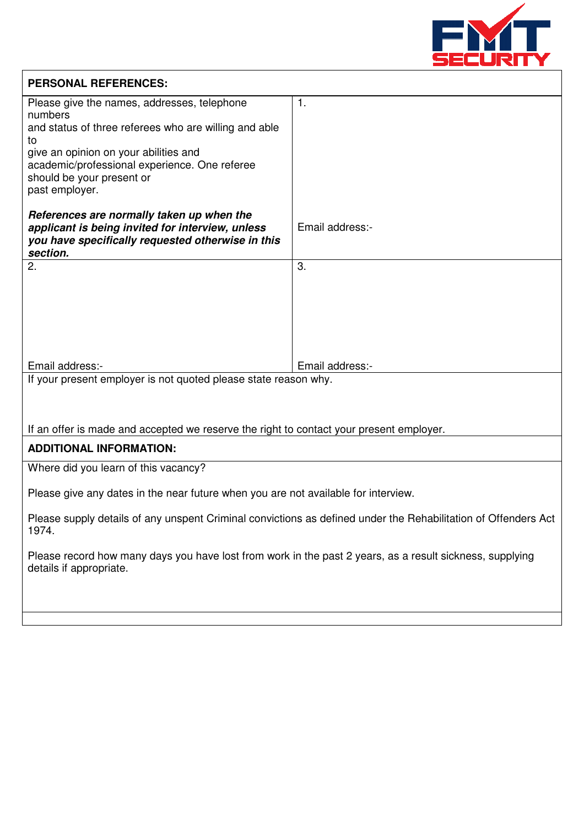

| <b>PERSONAL REFERENCES:</b>                                                                                                                                    |                 |  |  |
|----------------------------------------------------------------------------------------------------------------------------------------------------------------|-----------------|--|--|
| Please give the names, addresses, telephone<br>numbers                                                                                                         | $\mathbf{1}$ .  |  |  |
| and status of three referees who are willing and able<br>to                                                                                                    |                 |  |  |
| give an opinion on your abilities and                                                                                                                          |                 |  |  |
| academic/professional experience. One referee<br>should be your present or                                                                                     |                 |  |  |
| past employer.                                                                                                                                                 |                 |  |  |
| References are normally taken up when the<br>applicant is being invited for interview, unless<br>you have specifically requested otherwise in this<br>section. | Email address:- |  |  |
| 2.                                                                                                                                                             | 3.              |  |  |
|                                                                                                                                                                |                 |  |  |
|                                                                                                                                                                |                 |  |  |
|                                                                                                                                                                |                 |  |  |
|                                                                                                                                                                |                 |  |  |
| Email address:-                                                                                                                                                | Email address:- |  |  |
| If your present employer is not quoted please state reason why.                                                                                                |                 |  |  |
|                                                                                                                                                                |                 |  |  |
|                                                                                                                                                                |                 |  |  |
| If an offer is made and accepted we reserve the right to contact your present employer.                                                                        |                 |  |  |
| <b>ADDITIONAL INFORMATION:</b>                                                                                                                                 |                 |  |  |
| Where did you learn of this vacancy?                                                                                                                           |                 |  |  |
| Please give any dates in the near future when you are not available for interview.                                                                             |                 |  |  |
| Please supply details of any unspent Criminal convictions as defined under the Rehabilitation of Offenders Act<br>1974.                                        |                 |  |  |
| Please record how many days you have lost from work in the past 2 years, as a result sickness, supplying<br>details if appropriate.                            |                 |  |  |
|                                                                                                                                                                |                 |  |  |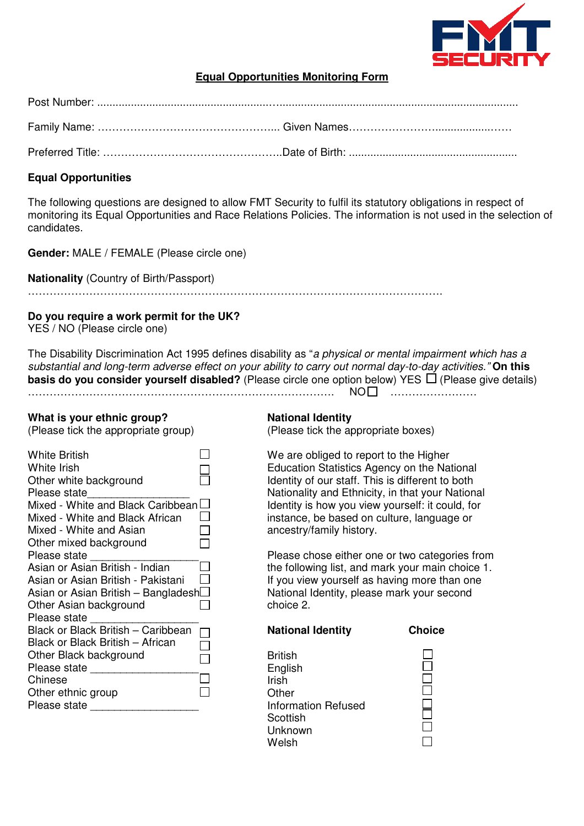

## **Equal Opportunities Monitoring Form**

### **Equal Opportunities**

The following questions are designed to allow FMT Security to fulfil its statutory obligations in respect of monitoring its Equal Opportunities and Race Relations Policies. The information is not used in the selection of candidates.

**Gender:** MALE / FEMALE (Please circle one)

**Nationality** (Country of Birth/Passport)

…………………………………………………………………………………………………….

### **Do you require a work permit for the UK?**

YES / NO (Please circle one)

The Disability Discrimination Act 1995 defines disability as "a physical or mental impairment which has a substantial and long-term adverse effect on your ability to carry out normal day-to-day activities." **On this basis do you consider yourself disabled?** (Please circle one option below) YES  $\Box$  (Please give details) …………………………………………………………………………. NO ……………………

#### **What is your ethnic group?**

(Please tick the appropriate group)

| <b>White British</b>                 |  |
|--------------------------------------|--|
| <b>White Irish</b>                   |  |
| Other white background               |  |
| Please state                         |  |
| Mixed - White and Black Caribbean    |  |
| Mixed - White and Black African      |  |
| Mixed - White and Asian              |  |
| Other mixed background               |  |
| Please state                         |  |
| Asian or Asian British - Indian      |  |
| Asian or Asian British - Pakistani   |  |
| Asian or Asian British – BangladeshL |  |
| Other Asian background               |  |
| Please state                         |  |
| Black or Black British - Caribbean   |  |
| Black or Black British - African     |  |
| Other Black background               |  |
| Please state                         |  |
| Chinese                              |  |
| Other ethnic group                   |  |
| Please state                         |  |
|                                      |  |

### **National Identity**

(Please tick the appropriate boxes)

We are obliged to report to the Higher Education Statistics Agency on the National Identity of our staff. This is different to both Nationality and Ethnicity, in that your National Identity is how you view yourself: it could, for instance, be based on culture, language or ancestry/family history.

Please chose either one or two categories from the following list, and mark your main choice 1. If you view yourself as having more than one National Identity, please mark your second choice 2.

| <b>British</b>      |  |
|---------------------|--|
| English             |  |
| Irish               |  |
| Other               |  |
| Information Refused |  |
| Scottish            |  |
| Unknown             |  |
| Welsh               |  |

**National Identity Choice**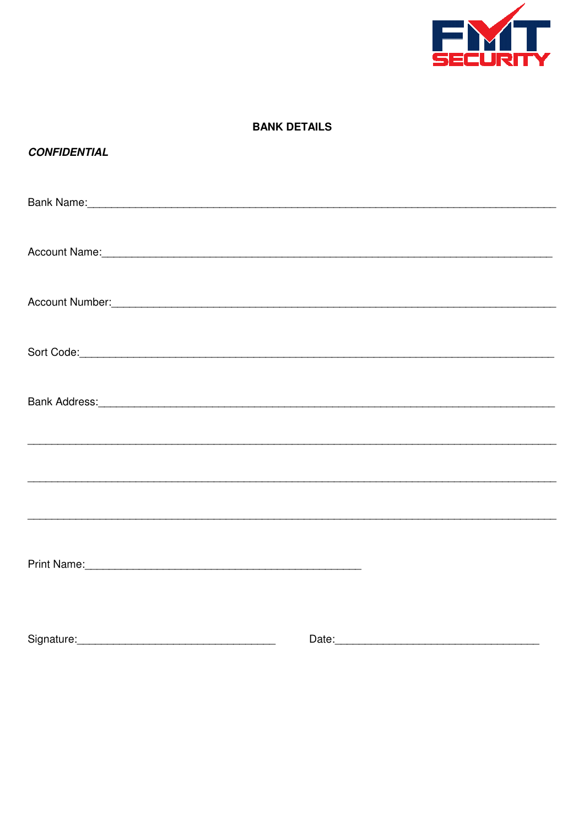

## **BANK DETAILS**

## **CONFIDENTIAL**

| Account Number: Account Number and Account Number of Account Number and Account Number and Account Number and Account Number and Account Number and Account Number and Account Number and Account Number and Account Number an |       |
|--------------------------------------------------------------------------------------------------------------------------------------------------------------------------------------------------------------------------------|-------|
|                                                                                                                                                                                                                                |       |
| Bank Address: etc. Address: All and the Address of the Address of the Address of the Address of the Address of the Address of the Address of the Address of the Address of the Address of the Address of the Address of the Ad |       |
|                                                                                                                                                                                                                                |       |
|                                                                                                                                                                                                                                |       |
|                                                                                                                                                                                                                                |       |
|                                                                                                                                                                                                                                |       |
|                                                                                                                                                                                                                                |       |
| Signature:                                                                                                                                                                                                                     | Date: |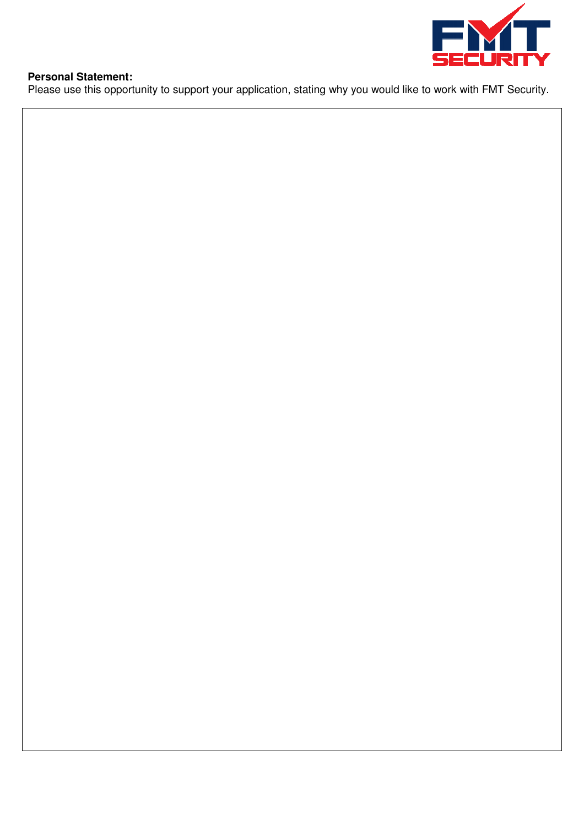

## **Personal Statement:**

Please use this opportunity to support your application, stating why you would like to work with FMT Security.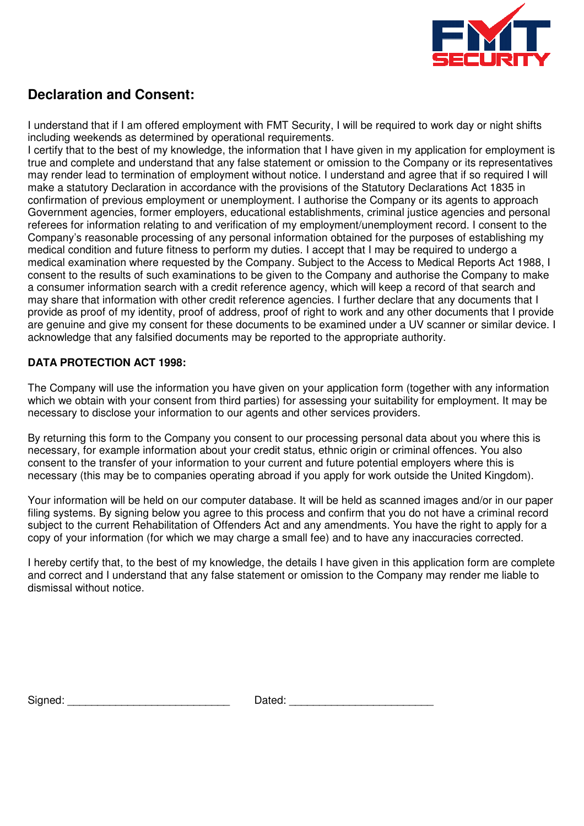

# **Declaration and Consent:**

I understand that if I am offered employment with FMT Security, I will be required to work day or night shifts including weekends as determined by operational requirements.

I certify that to the best of my knowledge, the information that I have given in my application for employment is true and complete and understand that any false statement or omission to the Company or its representatives may render lead to termination of employment without notice. I understand and agree that if so required I will make a statutory Declaration in accordance with the provisions of the Statutory Declarations Act 1835 in confirmation of previous employment or unemployment. I authorise the Company or its agents to approach Government agencies, former employers, educational establishments, criminal justice agencies and personal referees for information relating to and verification of my employment/unemployment record. I consent to the Company's reasonable processing of any personal information obtained for the purposes of establishing my medical condition and future fitness to perform my duties. I accept that I may be required to undergo a medical examination where requested by the Company. Subject to the Access to Medical Reports Act 1988, I consent to the results of such examinations to be given to the Company and authorise the Company to make a consumer information search with a credit reference agency, which will keep a record of that search and may share that information with other credit reference agencies. I further declare that any documents that I provide as proof of my identity, proof of address, proof of right to work and any other documents that I provide are genuine and give my consent for these documents to be examined under a UV scanner or similar device. I acknowledge that any falsified documents may be reported to the appropriate authority.

## **DATA PROTECTION ACT 1998:**

The Company will use the information you have given on your application form (together with any information which we obtain with your consent from third parties) for assessing your suitability for employment. It may be necessary to disclose your information to our agents and other services providers.

By returning this form to the Company you consent to our processing personal data about you where this is necessary, for example information about your credit status, ethnic origin or criminal offences. You also consent to the transfer of your information to your current and future potential employers where this is necessary (this may be to companies operating abroad if you apply for work outside the United Kingdom).

Your information will be held on our computer database. It will be held as scanned images and/or in our paper filing systems. By signing below you agree to this process and confirm that you do not have a criminal record subject to the current Rehabilitation of Offenders Act and any amendments. You have the right to apply for a copy of your information (for which we may charge a small fee) and to have any inaccuracies corrected.

I hereby certify that, to the best of my knowledge, the details I have given in this application form are complete and correct and I understand that any false statement or omission to the Company may render me liable to dismissal without notice.

| Signed: | Dated: |
|---------|--------|
|---------|--------|